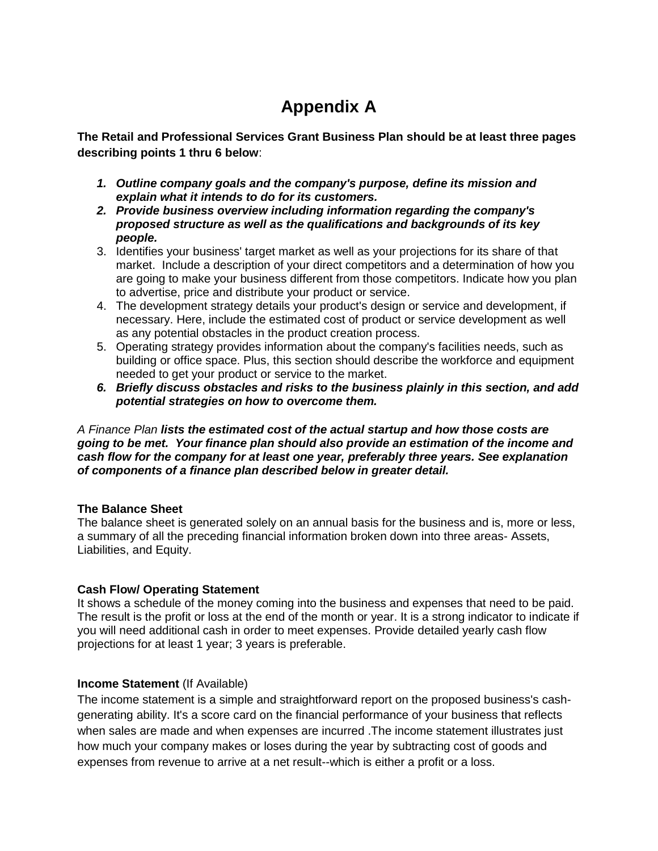# **Appendix A**

**The Retail and Professional Services Grant Business Plan should be at least three pages describing points 1 thru 6 below**:

- *1. Outline company goals and the company's purpose, define its mission and explain what it intends to do for its customers.*
- *2. Provide business overview including information regarding the company's proposed structure as well as the qualifications and backgrounds of its key people.*
- 3. Identifies your business' target market as well as your projections for its share of that market. Include a description of your direct competitors and a determination of how you are going to make your business different from those competitors. Indicate how you plan to advertise, price and distribute your product or service.
- 4. The development strategy details your product's design or service and development, if necessary. Here, include the estimated cost of product or service development as well as any potential obstacles in the product creation process.
- 5. Operating strategy provides information about the company's facilities needs, such as building or office space. Plus, this section should describe the workforce and equipment needed to get your product or service to the market.
- *6. Briefly discuss obstacles and risks to the business plainly in this section, and add potential strategies on how to overcome them.*

*A Finance Plan lists the estimated cost of the actual startup and how those costs are going to be met. Your finance plan should also provide an estimation of the income and cash flow for the company for at least one year, preferably three years. See explanation of components of a finance plan described below in greater detail.*

### **The Balance Sheet**

The balance sheet is generated solely on an annual basis for the business and is, more or less, a summary of all the preceding financial information broken down into three areas- Assets, Liabilities, and Equity.

### **Cash Flow/ Operating Statement**

It shows a schedule of the money coming into the business and expenses that need to be paid. The result is the profit or loss at the end of the month or year. It is a strong indicator to indicate if you will need additional cash in order to meet expenses. Provide detailed yearly cash flow projections for at least 1 year; 3 years is preferable.

### **Income Statement** (If Available)

The income statement is a simple and straightforward report on the proposed business's cashgenerating ability. It's a score card on the financial performance of your business that reflects when sales are made and when expenses are incurred .The income statement illustrates just how much your company makes or loses during the year by subtracting cost of goods and expenses from revenue to arrive at a net result--which is either a profit or a loss.